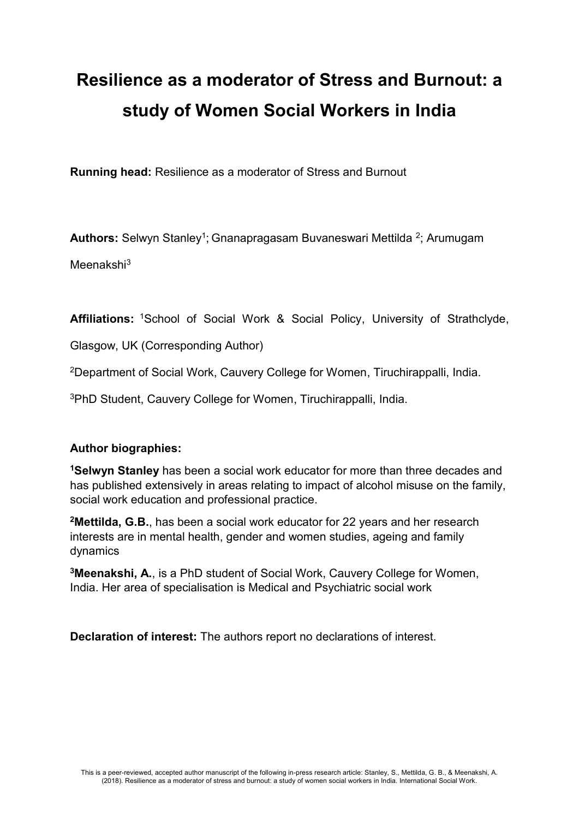# **Resilience as a moderator of Stress and Burnout: a study of Women Social Workers in India**

**Running head:** Resilience as a moderator of Stress and Burnout

Authors: Selwyn Stanley<sup>1</sup>; Gnanapragasam Buvaneswari Mettilda <sup>2</sup>; Arumugam

Meenakshi<sup>3</sup>

**Affiliations:** <sup>1</sup>School of Social Work & Social Policy, University of Strathclyde,

Glasgow, UK (Corresponding Author)

<sup>2</sup>Department of Social Work, Cauvery College for Women, Tiruchirappalli, India.

<sup>3</sup>PhD Student, Cauvery College for Women, Tiruchirappalli, India.

## **Author biographies:**

**<sup>1</sup>Selwyn Stanley** has been a social work educator for more than three decades and has published extensively in areas relating to impact of alcohol misuse on the family, social work education and professional practice.

**<sup>2</sup>Mettilda, G.B.**, has been a social work educator for 22 years and her research interests are in mental health, gender and women studies, ageing and family dynamics

**<sup>3</sup>Meenakshi, A.**, is a PhD student of Social Work, Cauvery College for Women, India. Her area of specialisation is Medical and Psychiatric social work

**Declaration of interest:** The authors report no declarations of interest.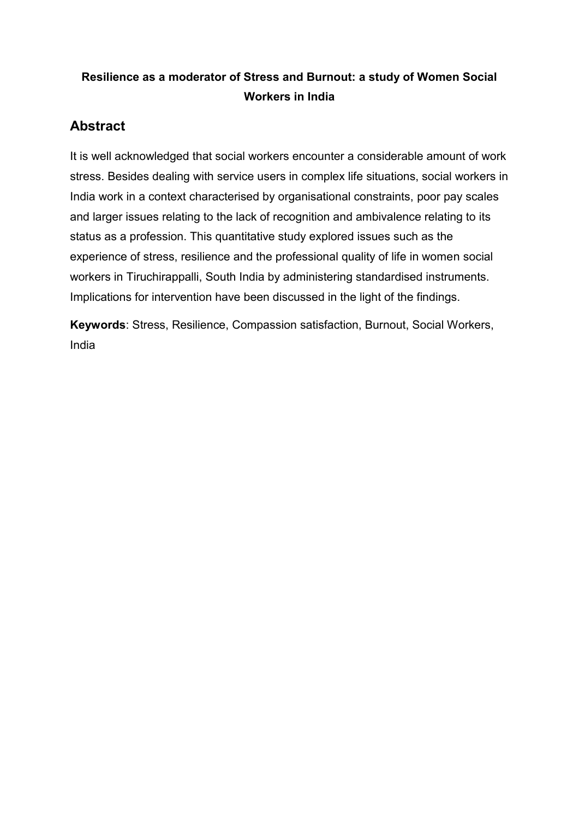# **Resilience as a moderator of Stress and Burnout: a study of Women Social Workers in India**

# **Abstract**

It is well acknowledged that social workers encounter a considerable amount of work stress. Besides dealing with service users in complex life situations, social workers in India work in a context characterised by organisational constraints, poor pay scales and larger issues relating to the lack of recognition and ambivalence relating to its status as a profession. This quantitative study explored issues such as the experience of stress, resilience and the professional quality of life in women social workers in Tiruchirappalli, South India by administering standardised instruments. Implications for intervention have been discussed in the light of the findings.

**Keywords**: Stress, Resilience, Compassion satisfaction, Burnout, Social Workers, India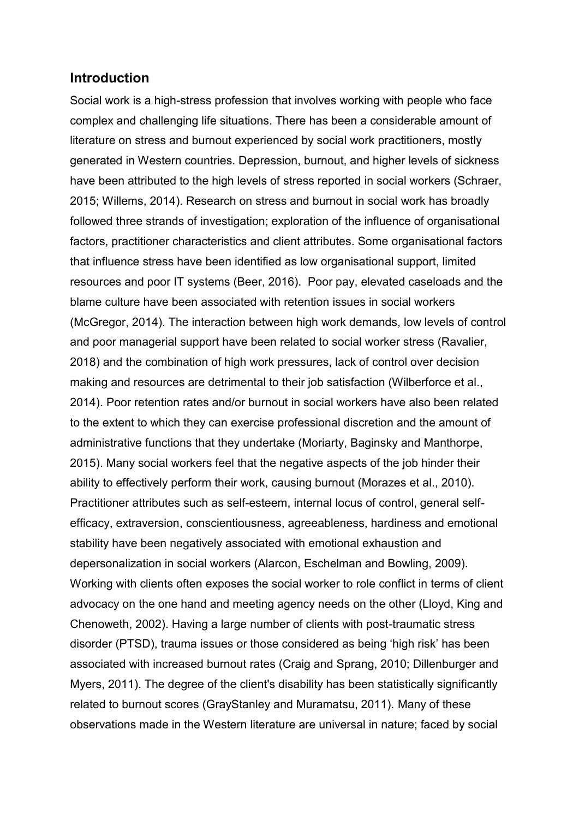## **Introduction**

Social work is a high-stress profession that involves working with people who face complex and challenging life situations. There has been a considerable amount of literature on stress and burnout experienced by social work practitioners, mostly generated in Western countries. Depression, burnout, and higher levels of sickness have been attributed to the high levels of stress reported in social workers (Schraer, 2015; Willems, 2014). Research on stress and burnout in social work has broadly followed three strands of investigation; exploration of the influence of organisational factors, practitioner characteristics and client attributes. Some organisational factors that influence stress have been identified as low organisational support, limited resources and poor IT systems (Beer, 2016). Poor pay, elevated caseloads and the blame culture have been associated with retention issues in social workers (McGregor, 2014). The interaction between high work demands, low levels of control and poor managerial support have been related to social worker stress (Ravalier, 2018) and the combination of high work pressures, lack of control over decision making and resources are detrimental to their job satisfaction (Wilberforce et al., 2014). Poor retention rates and/or burnout in social workers have also been related to the extent to which they can exercise professional discretion and the amount of administrative functions that they undertake (Moriarty, Baginsky and Manthorpe, 2015). Many social workers feel that the negative aspects of the job hinder their ability to effectively perform their work, causing burnout (Morazes et al., 2010). Practitioner attributes such as self-esteem, internal locus of control, general selfefficacy, extraversion, conscientiousness, agreeableness, hardiness and emotional stability have been negatively associated with emotional exhaustion and depersonalization in social workers (Alarcon, Eschelman and Bowling, 2009). Working with clients often exposes the social worker to role conflict in terms of client advocacy on the one hand and meeting agency needs on the other (Lloyd, King and Chenoweth, 2002). Having a large number of clients with post-traumatic stress disorder (PTSD), trauma issues or those considered as being 'high risk' has been associated with increased burnout rates (Craig and Sprang, 2010; Dillenburger and Myers, 2011). The degree of the client's disability has been statistically significantly related to burnout scores (GrayStanley and Muramatsu, 2011). Many of these observations made in the Western literature are universal in nature; faced by social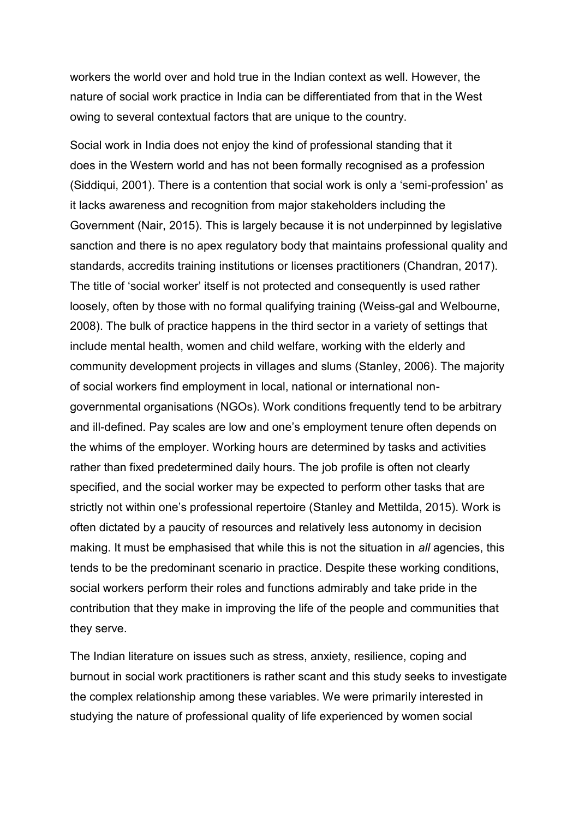workers the world over and hold true in the Indian context as well. However, the nature of social work practice in India can be differentiated from that in the West owing to several contextual factors that are unique to the country.

Social work in India does not enjoy the kind of professional standing that it does in the Western world and has not been formally recognised as a profession (Siddiqui, 2001). There is a contention that social work is only a 'semi-profession' as it lacks awareness and recognition from major stakeholders including the Government (Nair, 2015). This is largely because it is not underpinned by legislative sanction and there is no apex regulatory body that maintains professional quality and standards, accredits training institutions or licenses practitioners (Chandran, 2017). The title of 'social worker' itself is not protected and consequently is used rather loosely, often by those with no formal qualifying training (Weiss-gal and Welbourne, 2008). The bulk of practice happens in the third sector in a variety of settings that include mental health, women and child welfare, working with the elderly and community development projects in villages and slums (Stanley, 2006). The majority of social workers find employment in local, national or international nongovernmental organisations (NGOs). Work conditions frequently tend to be arbitrary and ill-defined. Pay scales are low and one's employment tenure often depends on the whims of the employer. Working hours are determined by tasks and activities rather than fixed predetermined daily hours. The job profile is often not clearly specified, and the social worker may be expected to perform other tasks that are strictly not within one's professional repertoire (Stanley and Mettilda, 2015). Work is often dictated by a paucity of resources and relatively less autonomy in decision making. It must be emphasised that while this is not the situation in *all* agencies, this tends to be the predominant scenario in practice. Despite these working conditions, social workers perform their roles and functions admirably and take pride in the contribution that they make in improving the life of the people and communities that they serve.

The Indian literature on issues such as stress, anxiety, resilience, coping and burnout in social work practitioners is rather scant and this study seeks to investigate the complex relationship among these variables. We were primarily interested in studying the nature of professional quality of life experienced by women social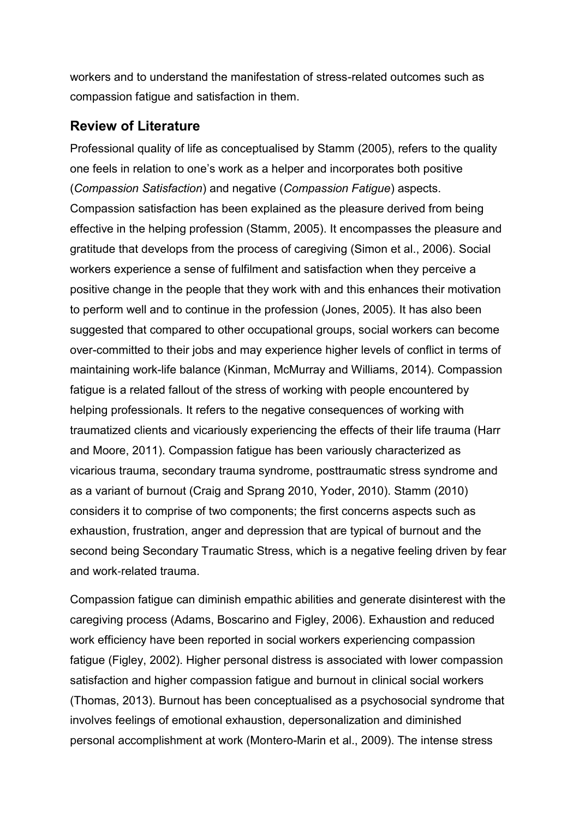workers and to understand the manifestation of stress-related outcomes such as compassion fatigue and satisfaction in them.

# **Review of Literature**

Professional quality of life as conceptualised by Stamm (2005), refers to the quality one feels in relation to one's work as a helper and incorporates both positive (*Compassion Satisfaction*) and negative (*Compassion Fatigue*) aspects. Compassion satisfaction has been explained as the pleasure derived from being effective in the helping profession (Stamm, 2005). It encompasses the pleasure and gratitude that develops from the process of caregiving (Simon et al., 2006). Social workers experience a sense of fulfilment and satisfaction when they perceive a positive change in the people that they work with and this enhances their motivation to perform well and to continue in the profession (Jones, 2005). It has also been suggested that compared to other occupational groups, social workers can become over-committed to their jobs and may experience higher levels of conflict in terms of maintaining work-life balance (Kinman, McMurray and Williams, 2014). Compassion fatigue is a related fallout of the stress of working with people encountered by helping professionals. It refers to the negative consequences of working with traumatized clients and vicariously experiencing the effects of their life trauma (Harr and Moore, 2011). Compassion fatigue has been variously characterized as vicarious trauma, secondary trauma syndrome, posttraumatic stress syndrome and as a variant of burnout (Craig and Sprang 2010, Yoder, 2010). Stamm (2010) considers it to comprise of two components; the first concerns aspects such as exhaustion, frustration, anger and depression that are typical of burnout and the second being Secondary Traumatic Stress, which is a negative feeling driven by fear and work‐related trauma.

Compassion fatigue can diminish empathic abilities and generate disinterest with the caregiving process (Adams, Boscarino and Figley, 2006). Exhaustion and reduced work efficiency have been reported in social workers experiencing compassion fatigue (Figley, 2002). Higher personal distress is associated with lower compassion satisfaction and higher compassion fatigue and burnout in clinical social workers (Thomas, 2013). Burnout has been conceptualised as a psychosocial syndrome that involves feelings of emotional exhaustion, depersonalization and diminished personal accomplishment at work (Montero-Marin et al., 2009). The intense stress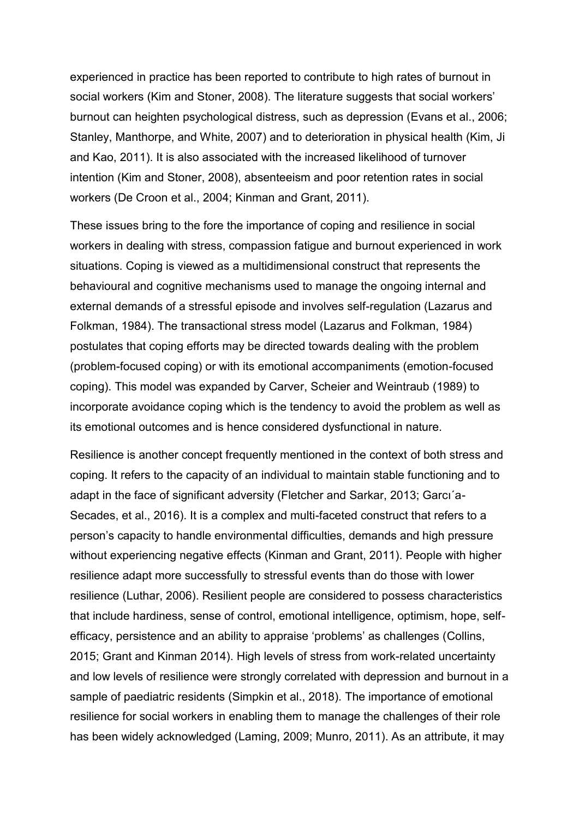experienced in practice has been reported to contribute to high rates of burnout in social workers (Kim and Stoner, 2008). The literature suggests that social workers' burnout can heighten psychological distress, such as depression (Evans et al., 2006; Stanley, Manthorpe, and White, 2007) and to deterioration in physical health (Kim, Ji and Kao, 2011). It is also associated with the increased likelihood of turnover intention (Kim and Stoner, 2008), absenteeism and poor retention rates in social workers (De Croon et al., 2004; Kinman and Grant, 2011).

These issues bring to the fore the importance of coping and resilience in social workers in dealing with stress, compassion fatigue and burnout experienced in work situations. Coping is viewed as a multidimensional construct that represents the behavioural and cognitive mechanisms used to manage the ongoing internal and external demands of a stressful episode and involves self-regulation (Lazarus and Folkman, 1984). The transactional stress model (Lazarus and Folkman, 1984) postulates that coping efforts may be directed towards dealing with the problem (problem-focused coping) or with its emotional accompaniments (emotion-focused coping). This model was expanded by Carver, Scheier and Weintraub (1989) to incorporate avoidance coping which is the tendency to avoid the problem as well as its emotional outcomes and is hence considered dysfunctional in nature.

Resilience is another concept frequently mentioned in the context of both stress and coping. It refers to the capacity of an individual to maintain stable functioning and to adapt in the face of significant adversity (Fletcher and Sarkar, 2013; Garcı´a-Secades, et al., 2016). It is a complex and multi-faceted construct that refers to a person's capacity to handle environmental difficulties, demands and high pressure without experiencing negative effects (Kinman and Grant, 2011). People with higher resilience adapt more successfully to stressful events than do those with lower resilience (Luthar, 2006). Resilient people are considered to possess characteristics that include hardiness, sense of control, emotional intelligence, optimism, hope, selfefficacy, persistence and an ability to appraise 'problems' as challenges (Collins, 2015; Grant and Kinman 2014). High levels of stress from work-related uncertainty and low levels of resilience were strongly correlated with depression and burnout in a sample of paediatric residents (Simpkin et al., 2018). The importance of emotional resilience for social workers in enabling them to manage the challenges of their role has been widely acknowledged (Laming, 2009; Munro, 2011). As an attribute, it may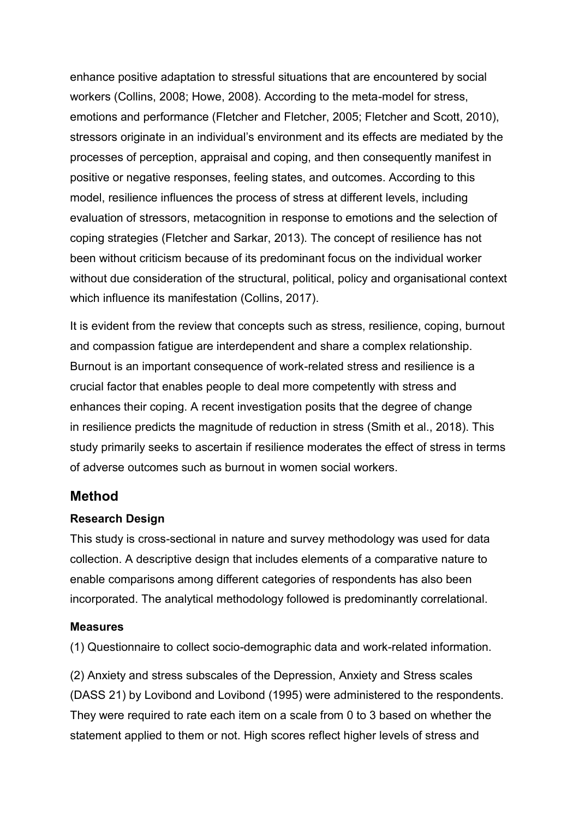enhance positive adaptation to stressful situations that are encountered by social workers (Collins, 2008; Howe, 2008). According to the meta-model for stress, emotions and performance (Fletcher and Fletcher, 2005; Fletcher and Scott, 2010), stressors originate in an individual's environment and its effects are mediated by the processes of perception, appraisal and coping, and then consequently manifest in positive or negative responses, feeling states, and outcomes. According to this model, resilience influences the process of stress at different levels, including evaluation of stressors, metacognition in response to emotions and the selection of coping strategies (Fletcher and Sarkar, 2013). The concept of resilience has not been without criticism because of its predominant focus on the individual worker without due consideration of the structural, political, policy and organisational context which influence its manifestation (Collins, 2017).

It is evident from the review that concepts such as stress, resilience, coping, burnout and compassion fatigue are interdependent and share a complex relationship. Burnout is an important consequence of work-related stress and resilience is a crucial factor that enables people to deal more competently with stress and enhances their coping. A recent investigation posits that the degree of change in resilience predicts the magnitude of reduction in stress (Smith et al., 2018). This study primarily seeks to ascertain if resilience moderates the effect of stress in terms of adverse outcomes such as burnout in women social workers.

## **Method**

#### **Research Design**

This study is cross-sectional in nature and survey methodology was used for data collection. A descriptive design that includes elements of a comparative nature to enable comparisons among different categories of respondents has also been incorporated. The analytical methodology followed is predominantly correlational.

#### **Measures**

(1) Questionnaire to collect socio-demographic data and work-related information.

(2) Anxiety and stress subscales of the Depression, Anxiety and Stress scales (DASS 21) by Lovibond and Lovibond (1995) were administered to the respondents. They were required to rate each item on a scale from 0 to 3 based on whether the statement applied to them or not. High scores reflect higher levels of stress and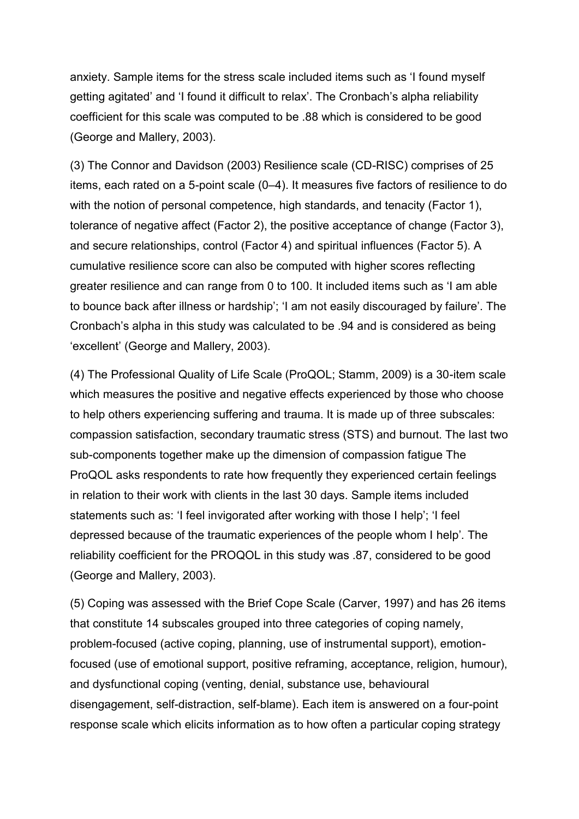anxiety. Sample items for the stress scale included items such as 'I found myself getting agitated' and 'I found it difficult to relax'. The Cronbach's alpha reliability coefficient for this scale was computed to be .88 which is considered to be good (George and Mallery, 2003).

(3) The Connor and Davidson (2003) Resilience scale (CD-RISC) comprises of 25 items, each rated on a 5-point scale (0–4). It measures five factors of resilience to do with the notion of personal competence, high standards, and tenacity (Factor 1), tolerance of negative affect (Factor 2), the positive acceptance of change (Factor 3), and secure relationships, control (Factor 4) and spiritual influences (Factor 5). A cumulative resilience score can also be computed with higher scores reflecting greater resilience and can range from 0 to 100. It included items such as 'I am able to bounce back after illness or hardship'; 'I am not easily discouraged by failure'. The Cronbach's alpha in this study was calculated to be .94 and is considered as being 'excellent' (George and Mallery, 2003).

(4) The Professional Quality of Life Scale (ProQOL; Stamm, 2009) is a 30-item scale which measures the positive and negative effects experienced by those who choose to help others experiencing suffering and trauma. It is made up of three subscales: compassion satisfaction, secondary traumatic stress (STS) and burnout. The last two sub-components together make up the dimension of compassion fatigue The ProQOL asks respondents to rate how frequently they experienced certain feelings in relation to their work with clients in the last 30 days. Sample items included statements such as: 'I feel invigorated after working with those I help'; 'I feel depressed because of the traumatic experiences of the people whom I help'*.* The reliability coefficient for the PROQOL in this study was .87, considered to be good (George and Mallery, 2003).

(5) Coping was assessed with the Brief Cope Scale (Carver, 1997) and has 26 items that constitute 14 subscales grouped into three categories of coping namely, problem-focused (active coping, planning, use of instrumental support), emotionfocused (use of emotional support, positive reframing, acceptance, religion, humour), and dysfunctional coping (venting, denial, substance use, behavioural disengagement, self-distraction, self-blame). Each item is answered on a four-point response scale which elicits information as to how often a particular coping strategy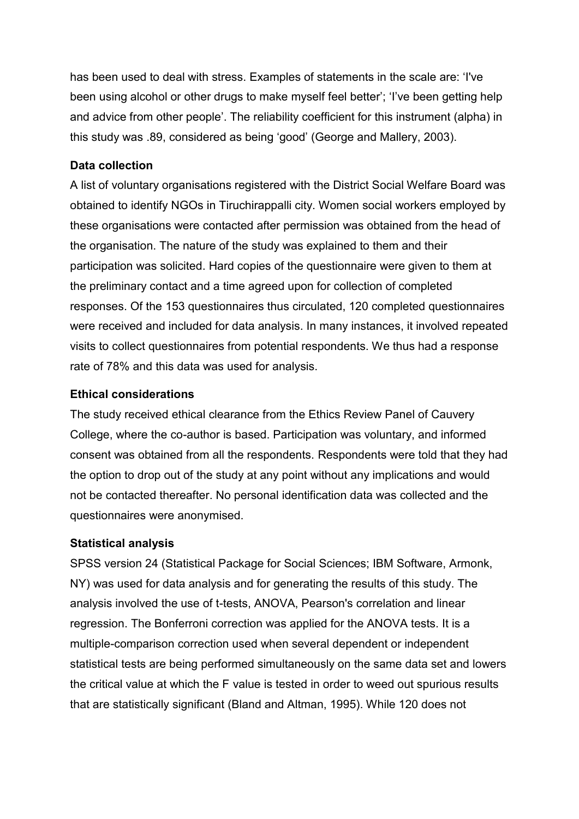has been used to deal with stress. Examples of statements in the scale are: 'I've been using alcohol or other drugs to make myself feel better'; 'I've been getting help and advice from other people'. The reliability coefficient for this instrument (alpha) in this study was .89, considered as being 'good' (George and Mallery, 2003).

## **Data collection**

A list of voluntary organisations registered with the District Social Welfare Board was obtained to identify NGOs in Tiruchirappalli city. Women social workers employed by these organisations were contacted after permission was obtained from the head of the organisation. The nature of the study was explained to them and their participation was solicited. Hard copies of the questionnaire were given to them at the preliminary contact and a time agreed upon for collection of completed responses. Of the 153 questionnaires thus circulated, 120 completed questionnaires were received and included for data analysis. In many instances, it involved repeated visits to collect questionnaires from potential respondents. We thus had a response rate of 78% and this data was used for analysis.

## **Ethical considerations**

The study received ethical clearance from the Ethics Review Panel of Cauvery College, where the co-author is based. Participation was voluntary, and informed consent was obtained from all the respondents. Respondents were told that they had the option to drop out of the study at any point without any implications and would not be contacted thereafter. No personal identification data was collected and the questionnaires were anonymised.

## **Statistical analysis**

SPSS version 24 (Statistical Package for Social Sciences; IBM Software, Armonk, NY) was used for data analysis and for generating the results of this study. The analysis involved the use of t-tests, ANOVA, Pearson's correlation and linear regression. The Bonferroni correction was applied for the ANOVA tests. It is a multiple-comparison correction used when several dependent or independent statistical tests are being performed simultaneously on the same data set and lowers the critical value at which the F value is tested in order to weed out spurious results that are statistically significant (Bland and Altman, 1995). While 120 does not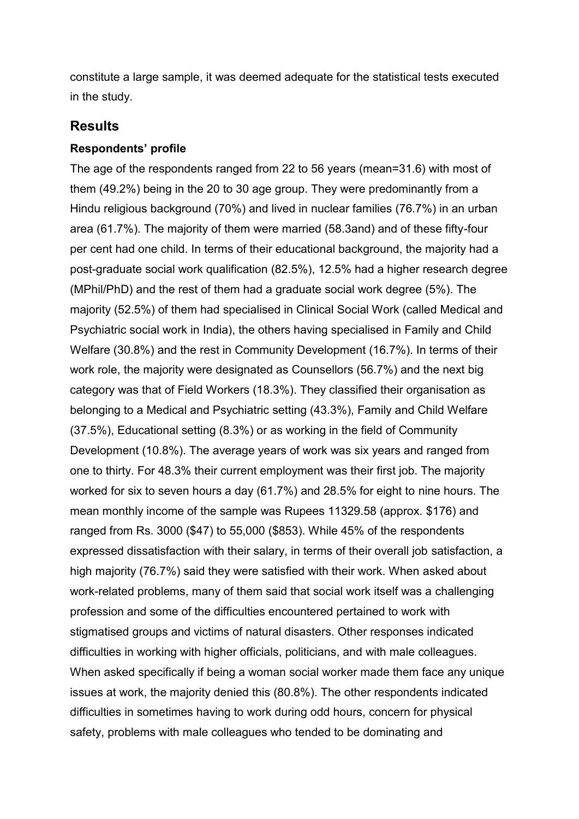constitute a large sample, it was deemed adequate for the statistical tests executed in the study.

# **Results**

#### **Respondents' profile**

The age of the respondents ranged from 22 to 56 years (mean=31.6) with most of them (49.2%) being in the 20 to 30 age group. They were predominantly from a Hindu religious background (70%) and lived in nuclear families (76.7%) in an urban area (61.7%). The majority of them were married (58.3and) and of these fifty-four per cent had one child. In terms of their educational background, the majority had a post-graduate social work qualification (82.5%), 12.5% had a higher research degree (MPhil/PhD) and the rest of them had a graduate social work degree (5%). The majority (52.5%) of them had specialised in Clinical Social Work (called Medical and Psychiatric social work in India), the others having specialised in Family and Child Welfare (30.8%) and the rest in Community Development (16.7%). In terms of their work role, the majority were designated as Counsellors (56.7%) and the next big category was that of Field Workers (18.3%). They classified their organisation as belonging to a Medical and Psychiatric setting (43.3%), Family and Child Welfare (37.5%), Educational setting (8.3%) or as working in the field of Community Development (10.8%). The average years of work was six years and ranged from one to thirty. For 48.3% their current employment was their first job. The majority worked for six to seven hours a day (61.7%) and 28.5% for eight to nine hours. The mean monthly income of the sample was Rupees 11329.58 (approx. \$176) and ranged from Rs. 3000 (\$47) to 55,000 (\$853). While 45% of the respondents expressed dissatisfaction with their salary, in terms of their overall job satisfaction, a high majority (76.7%) said they were satisfied with their work. When asked about work-related problems, many of them said that social work itself was a challenging profession and some of the difficulties encountered pertained to work with stigmatised groups and victims of natural disasters. Other responses indicated difficulties in working with higher officials, politicians, and with male colleagues. When asked specifically if being a woman social worker made them face any unique issues at work, the majority denied this (80.8%). The other respondents indicated difficulties in sometimes having to work during odd hours, concern for physical safety, problems with male colleagues who tended to be dominating and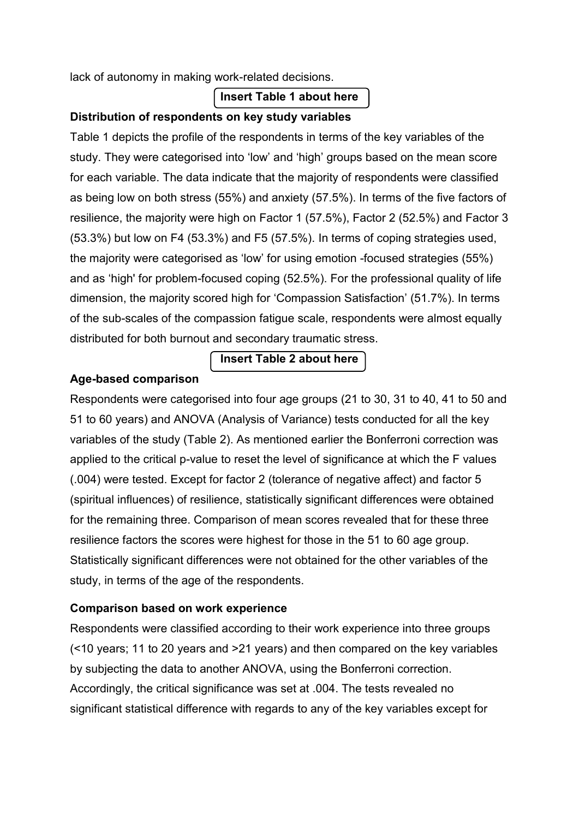lack of autonomy in making work-related decisions.

# **Insert Table 1 about here**

## **Distribution of respondents on key study variables**

Table 1 depicts the profile of the respondents in terms of the key variables of the study. They were categorised into 'low' and 'high' groups based on the mean score for each variable. The data indicate that the majority of respondents were classified as being low on both stress (55%) and anxiety (57.5%). In terms of the five factors of resilience, the majority were high on Factor 1 (57.5%), Factor 2 (52.5%) and Factor 3 (53.3%) but low on F4 (53.3%) and F5 (57.5%). In terms of coping strategies used, the majority were categorised as 'low' for using emotion -focused strategies (55%) and as 'high' for problem-focused coping (52.5%). For the professional quality of life dimension, the majority scored high for 'Compassion Satisfaction' (51.7%). In terms of the sub-scales of the compassion fatigue scale, respondents were almost equally distributed for both burnout and secondary traumatic stress.

# **Insert Table 2 about here**

## **Age-based comparison**

Respondents were categorised into four age groups (21 to 30, 31 to 40, 41 to 50 and 51 to 60 years) and ANOVA (Analysis of Variance) tests conducted for all the key variables of the study (Table 2). As mentioned earlier the Bonferroni correction was applied to the critical p-value to reset the level of significance at which the F values (.004) were tested. Except for factor 2 (tolerance of negative affect) and factor 5 (spiritual influences) of resilience, statistically significant differences were obtained for the remaining three. Comparison of mean scores revealed that for these three resilience factors the scores were highest for those in the 51 to 60 age group. Statistically significant differences were not obtained for the other variables of the study, in terms of the age of the respondents.

# **Comparison based on work experience**

Respondents were classified according to their work experience into three groups (<10 years; 11 to 20 years and >21 years) and then compared on the key variables by subjecting the data to another ANOVA, using the Bonferroni correction. Accordingly, the critical significance was set at .004. The tests revealed no significant statistical difference with regards to any of the key variables except for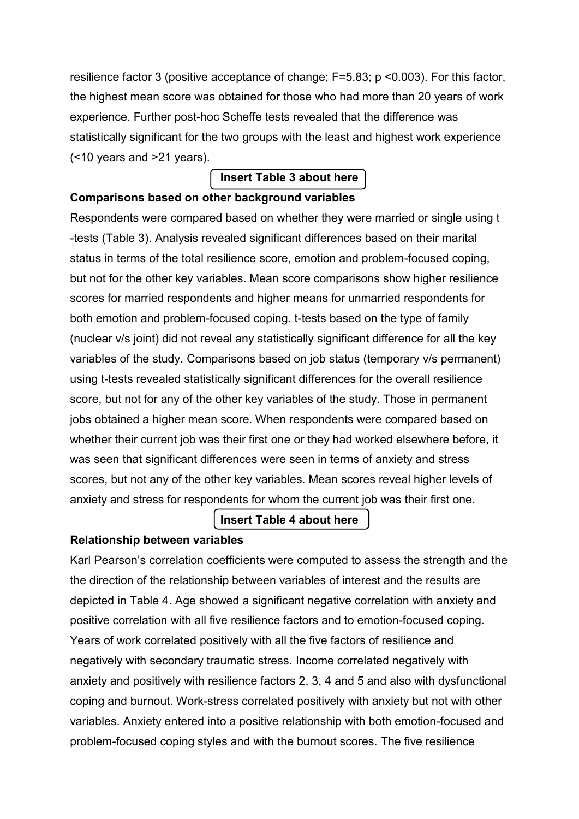resilience factor 3 (positive acceptance of change; F=5.83; p <0.003). For this factor, the highest mean score was obtained for those who had more than 20 years of work experience. Further post-hoc Scheffe tests revealed that the difference was statistically significant for the two groups with the least and highest work experience (<10 years and >21 years).

# **Insert Table 3 about here**

## **Comparisons based on other background variables**

Respondents were compared based on whether they were married or single using t -tests (Table 3). Analysis revealed significant differences based on their marital status in terms of the total resilience score, emotion and problem-focused coping, but not for the other key variables. Mean score comparisons show higher resilience scores for married respondents and higher means for unmarried respondents for both emotion and problem-focused coping. t-tests based on the type of family (nuclear v/s joint) did not reveal any statistically significant difference for all the key variables of the study. Comparisons based on job status (temporary v/s permanent) using t-tests revealed statistically significant differences for the overall resilience score, but not for any of the other key variables of the study. Those in permanent jobs obtained a higher mean score. When respondents were compared based on whether their current job was their first one or they had worked elsewhere before, it was seen that significant differences were seen in terms of anxiety and stress scores, but not any of the other key variables. Mean scores reveal higher levels of anxiety and stress for respondents for whom the current job was their first one.

# **Insert Table 4 about here**

## **Relationship between variables**

Karl Pearson's correlation coefficients were computed to assess the strength and the the direction of the relationship between variables of interest and the results are depicted in Table 4. Age showed a significant negative correlation with anxiety and positive correlation with all five resilience factors and to emotion-focused coping. Years of work correlated positively with all the five factors of resilience and negatively with secondary traumatic stress. Income correlated negatively with anxiety and positively with resilience factors 2, 3, 4 and 5 and also with dysfunctional coping and burnout. Work-stress correlated positively with anxiety but not with other variables. Anxiety entered into a positive relationship with both emotion-focused and problem-focused coping styles and with the burnout scores. The five resilience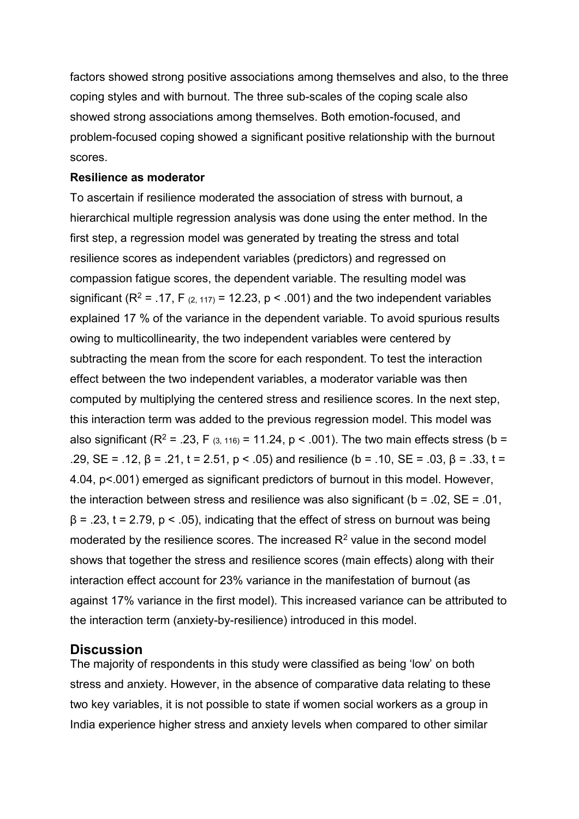factors showed strong positive associations among themselves and also, to the three coping styles and with burnout. The three sub-scales of the coping scale also showed strong associations among themselves. Both emotion-focused, and problem-focused coping showed a significant positive relationship with the burnout scores.

#### **Resilience as moderator**

To ascertain if resilience moderated the association of stress with burnout, a hierarchical multiple regression analysis was done using the enter method. In the first step, a regression model was generated by treating the stress and total resilience scores as independent variables (predictors) and regressed on compassion fatigue scores, the dependent variable. The resulting model was significant (R<sup>2</sup> = .17, F<sub>(2, 117)</sub> = 12.23, p < .001) and the two independent variables explained 17 % of the variance in the dependent variable. To avoid spurious results owing to multicollinearity, the two independent variables were centered by subtracting the mean from the score for each respondent. To test the interaction effect between the two independent variables, a moderator variable was then computed by multiplying the centered stress and resilience scores. In the next step, this interaction term was added to the previous regression model. This model was also significant ( $R^2$  = .23, F  $_{(3, 116)}$  = 11.24, p < .001). The two main effects stress (b = .29, SE = .12, β = .21, t = 2.51, p < .05) and resilience (b = .10, SE = .03, β = .33, t = 4.04, p<.001) emerged as significant predictors of burnout in this model. However, the interaction between stress and resilience was also significant ( $b = .02$ ,  $SE = .01$ ,  $\beta$  = .23, t = 2.79, p < .05), indicating that the effect of stress on burnout was being moderated by the resilience scores. The increased  $R<sup>2</sup>$  value in the second model shows that together the stress and resilience scores (main effects) along with their interaction effect account for 23% variance in the manifestation of burnout (as against 17% variance in the first model). This increased variance can be attributed to the interaction term (anxiety-by-resilience) introduced in this model.

## **Discussion**

The majority of respondents in this study were classified as being 'low' on both stress and anxiety. However, in the absence of comparative data relating to these two key variables, it is not possible to state if women social workers as a group in India experience higher stress and anxiety levels when compared to other similar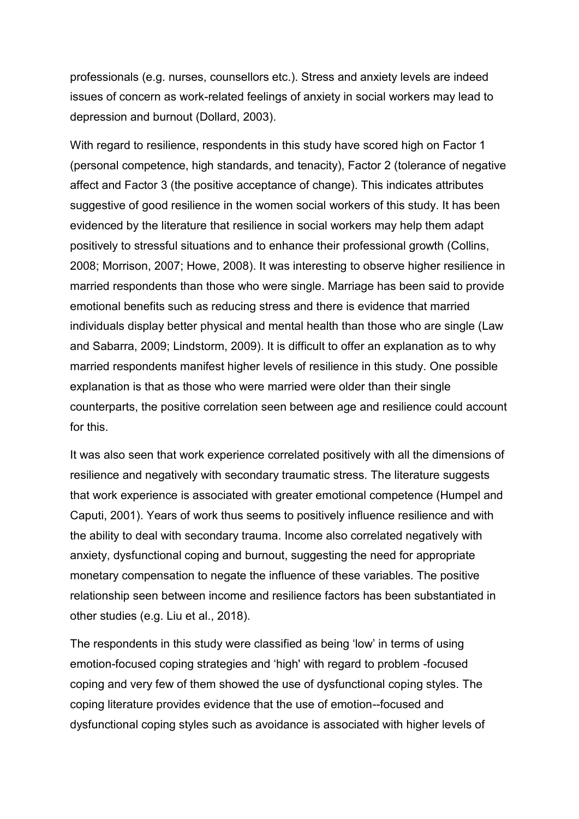professionals (e.g. nurses, counsellors etc.). Stress and anxiety levels are indeed issues of concern as work-related feelings of anxiety in social workers may lead to depression and burnout (Dollard, 2003).

With regard to resilience, respondents in this study have scored high on Factor 1 (personal competence, high standards, and tenacity), Factor 2 (tolerance of negative affect and Factor 3 (the positive acceptance of change). This indicates attributes suggestive of good resilience in the women social workers of this study. It has been evidenced by the literature that resilience in social workers may help them adapt positively to stressful situations and to enhance their professional growth (Collins, 2008; Morrison, 2007; Howe, 2008). It was interesting to observe higher resilience in married respondents than those who were single. Marriage has been said to provide emotional benefits such as reducing stress and there is evidence that married individuals display better physical and mental health than those who are single (Law and Sabarra, 2009; Lindstorm, 2009). It is difficult to offer an explanation as to why married respondents manifest higher levels of resilience in this study. One possible explanation is that as those who were married were older than their single counterparts, the positive correlation seen between age and resilience could account for this.

It was also seen that work experience correlated positively with all the dimensions of resilience and negatively with secondary traumatic stress. The literature suggests that work experience is associated with greater emotional competence (Humpel and Caputi, 2001). Years of work thus seems to positively influence resilience and with the ability to deal with secondary trauma. Income also correlated negatively with anxiety, dysfunctional coping and burnout, suggesting the need for appropriate monetary compensation to negate the influence of these variables. The positive relationship seen between income and resilience factors has been substantiated in other studies (e.g. Liu et al., 2018).

The respondents in this study were classified as being 'low' in terms of using emotion-focused coping strategies and 'high' with regard to problem -focused coping and very few of them showed the use of dysfunctional coping styles. The coping literature provides evidence that the use of emotion--focused and dysfunctional coping styles such as avoidance is associated with higher levels of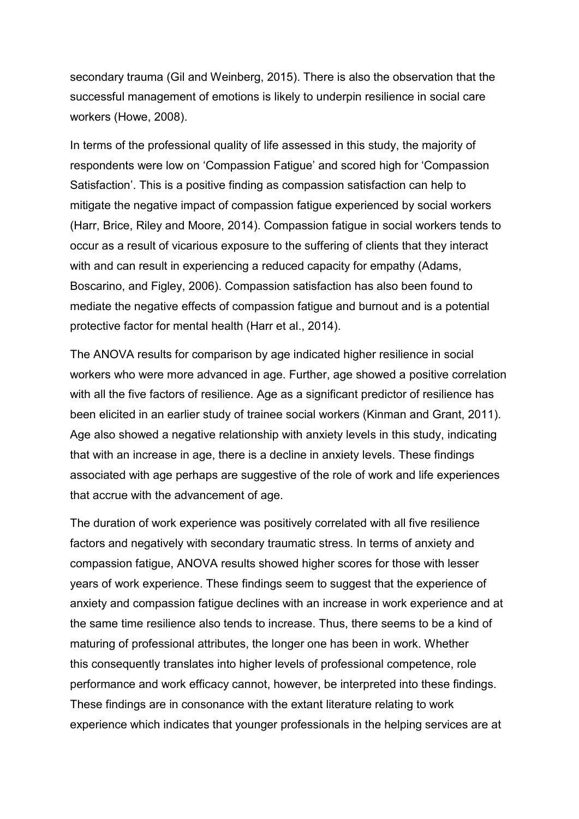secondary trauma (Gil and Weinberg, 2015). There is also the observation that the successful management of emotions is likely to underpin resilience in social care workers (Howe, 2008).

In terms of the professional quality of life assessed in this study, the majority of respondents were low on 'Compassion Fatigue' and scored high for 'Compassion Satisfaction'. This is a positive finding as compassion satisfaction can help to mitigate the negative impact of compassion fatigue experienced by social workers (Harr, Brice, Riley and Moore, 2014). Compassion fatigue in social workers tends to occur as a result of vicarious exposure to the suffering of clients that they interact with and can result in experiencing a reduced capacity for empathy (Adams, Boscarino, and Figley, 2006). Compassion satisfaction has also been found to mediate the negative effects of compassion fatigue and burnout and is a potential protective factor for mental health (Harr et al., 2014).

The ANOVA results for comparison by age indicated higher resilience in social workers who were more advanced in age. Further, age showed a positive correlation with all the five factors of resilience. Age as a significant predictor of resilience has been elicited in an earlier study of trainee social workers (Kinman and Grant, 2011). Age also showed a negative relationship with anxiety levels in this study, indicating that with an increase in age, there is a decline in anxiety levels. These findings associated with age perhaps are suggestive of the role of work and life experiences that accrue with the advancement of age.

The duration of work experience was positively correlated with all five resilience factors and negatively with secondary traumatic stress. In terms of anxiety and compassion fatigue, ANOVA results showed higher scores for those with lesser years of work experience. These findings seem to suggest that the experience of anxiety and compassion fatigue declines with an increase in work experience and at the same time resilience also tends to increase. Thus, there seems to be a kind of maturing of professional attributes, the longer one has been in work. Whether this consequently translates into higher levels of professional competence, role performance and work efficacy cannot, however, be interpreted into these findings. These findings are in consonance with the extant literature relating to work experience which indicates that younger professionals in the helping services are at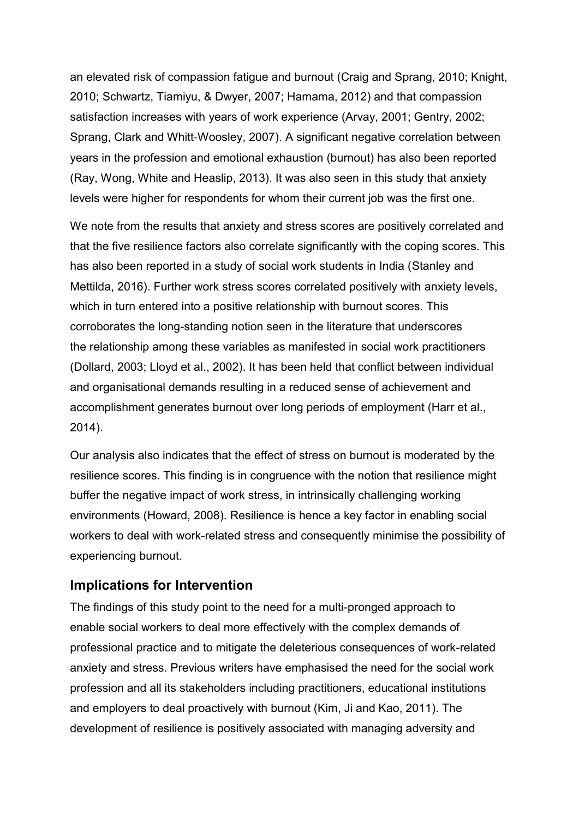an elevated risk of compassion fatigue and burnout (Craig and Sprang, 2010; Knight, 2010; Schwartz, Tiamiyu, & Dwyer, 2007; Hamama, 2012) and that compassion satisfaction increases with years of work experience (Arvay, 2001; Gentry, 2002; Sprang, Clark and Whitt‐Woosley, 2007). A significant negative correlation between years in the profession and emotional exhaustion (burnout) has also been reported (Ray, Wong, White and Heaslip, 2013). It was also seen in this study that anxiety levels were higher for respondents for whom their current job was the first one.

We note from the results that anxiety and stress scores are positively correlated and that the five resilience factors also correlate significantly with the coping scores. This has also been reported in a study of social work students in India (Stanley and Mettilda, 2016). Further work stress scores correlated positively with anxiety levels, which in turn entered into a positive relationship with burnout scores. This corroborates the long-standing notion seen in the literature that underscores the relationship among these variables as manifested in social work practitioners (Dollard, 2003; Lloyd et al., 2002). It has been held that conflict between individual and organisational demands resulting in a reduced sense of achievement and accomplishment generates burnout over long periods of employment (Harr et al., 2014).

Our analysis also indicates that the effect of stress on burnout is moderated by the resilience scores. This finding is in congruence with the notion that resilience might buffer the negative impact of work stress, in intrinsically challenging working environments (Howard, 2008). Resilience is hence a key factor in enabling social workers to deal with work-related stress and consequently minimise the possibility of experiencing burnout.

# **Implications for Intervention**

The findings of this study point to the need for a multi-pronged approach to enable social workers to deal more effectively with the complex demands of professional practice and to mitigate the deleterious consequences of work-related anxiety and stress. Previous writers have emphasised the need for the social work profession and all its stakeholders including practitioners, educational institutions and employers to deal proactively with burnout (Kim, Ji and Kao, 2011). The development of resilience is positively associated with managing adversity and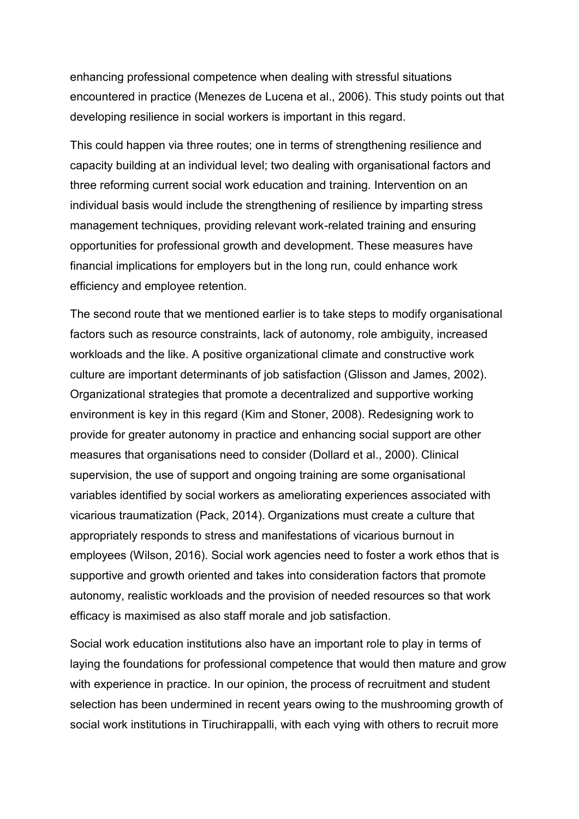enhancing professional competence when dealing with stressful situations encountered in practice (Menezes de Lucena et al., 2006). This study points out that developing resilience in social workers is important in this regard.

This could happen via three routes; one in terms of strengthening resilience and capacity building at an individual level; two dealing with organisational factors and three reforming current social work education and training. Intervention on an individual basis would include the strengthening of resilience by imparting stress management techniques, providing relevant work-related training and ensuring opportunities for professional growth and development. These measures have financial implications for employers but in the long run, could enhance work efficiency and employee retention.

The second route that we mentioned earlier is to take steps to modify organisational factors such as resource constraints, lack of autonomy, role ambiguity, increased workloads and the like. A positive organizational climate and constructive work culture are important determinants of job satisfaction (Glisson and James, 2002). Organizational strategies that promote a decentralized and supportive working environment is key in this regard (Kim and Stoner, 2008). Redesigning work to provide for greater autonomy in practice and enhancing social support are other measures that organisations need to consider (Dollard et al., 2000). Clinical supervision, the use of support and ongoing training are some organisational variables identified by social workers as ameliorating experiences associated with vicarious traumatization (Pack, 2014). Organizations must create a culture that appropriately responds to stress and manifestations of vicarious burnout in employees (Wilson, 2016). Social work agencies need to foster a work ethos that is supportive and growth oriented and takes into consideration factors that promote autonomy, realistic workloads and the provision of needed resources so that work efficacy is maximised as also staff morale and job satisfaction.

Social work education institutions also have an important role to play in terms of laying the foundations for professional competence that would then mature and grow with experience in practice. In our opinion, the process of recruitment and student selection has been undermined in recent years owing to the mushrooming growth of social work institutions in Tiruchirappalli, with each vying with others to recruit more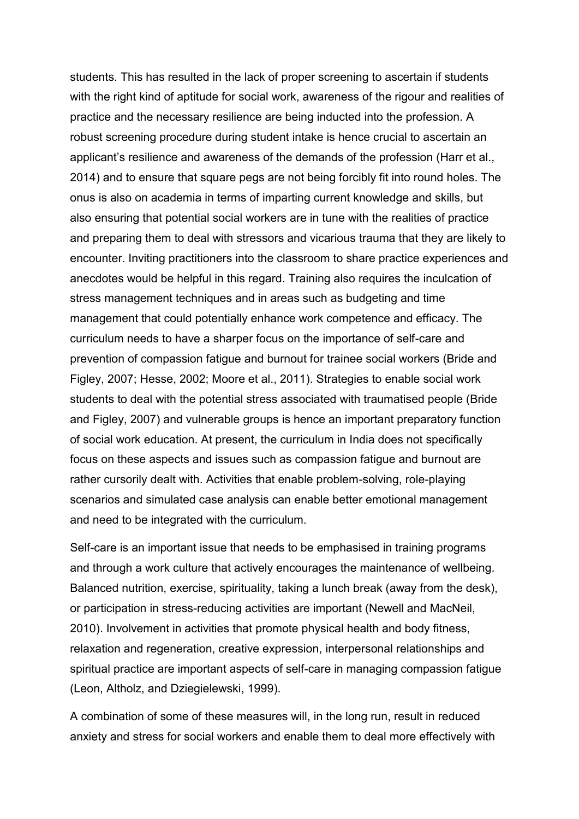students. This has resulted in the lack of proper screening to ascertain if students with the right kind of aptitude for social work, awareness of the rigour and realities of practice and the necessary resilience are being inducted into the profession. A robust screening procedure during student intake is hence crucial to ascertain an applicant's resilience and awareness of the demands of the profession (Harr et al., 2014) and to ensure that square pegs are not being forcibly fit into round holes. The onus is also on academia in terms of imparting current knowledge and skills, but also ensuring that potential social workers are in tune with the realities of practice and preparing them to deal with stressors and vicarious trauma that they are likely to encounter. Inviting practitioners into the classroom to share practice experiences and anecdotes would be helpful in this regard. Training also requires the inculcation of stress management techniques and in areas such as budgeting and time management that could potentially enhance work competence and efficacy. The curriculum needs to have a sharper focus on the importance of self-care and prevention of compassion fatigue and burnout for trainee social workers (Bride and Figley, 2007; Hesse, 2002; Moore et al., 2011). Strategies to enable social work students to deal with the potential stress associated with traumatised people (Bride and Figley, 2007) and vulnerable groups is hence an important preparatory function of social work education. At present, the curriculum in India does not specifically focus on these aspects and issues such as compassion fatigue and burnout are rather cursorily dealt with. Activities that enable problem-solving, role-playing scenarios and simulated case analysis can enable better emotional management and need to be integrated with the curriculum.

Self-care is an important issue that needs to be emphasised in training programs and through a work culture that actively encourages the maintenance of wellbeing. Balanced nutrition, exercise, spirituality, taking a lunch break (away from the desk), or participation in stress-reducing activities are important (Newell and MacNeil, 2010). Involvement in activities that promote physical health and body fitness, relaxation and regeneration, creative expression, interpersonal relationships and spiritual practice are important aspects of self-care in managing compassion fatigue (Leon, Altholz, and Dziegielewski, 1999).

A combination of some of these measures will, in the long run, result in reduced anxiety and stress for social workers and enable them to deal more effectively with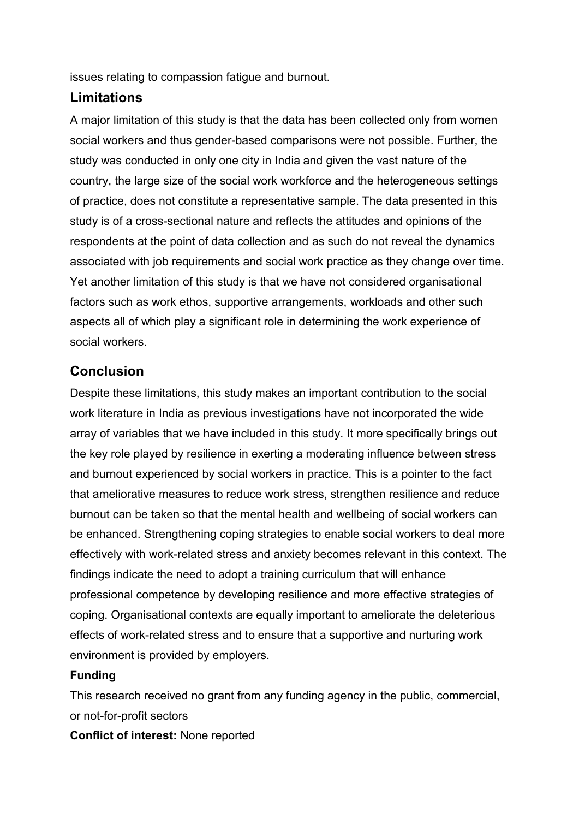issues relating to compassion fatigue and burnout.

# **Limitations**

A major limitation of this study is that the data has been collected only from women social workers and thus gender-based comparisons were not possible. Further, the study was conducted in only one city in India and given the vast nature of the country, the large size of the social work workforce and the heterogeneous settings of practice, does not constitute a representative sample. The data presented in this study is of a cross-sectional nature and reflects the attitudes and opinions of the respondents at the point of data collection and as such do not reveal the dynamics associated with job requirements and social work practice as they change over time. Yet another limitation of this study is that we have not considered organisational factors such as work ethos, supportive arrangements, workloads and other such aspects all of which play a significant role in determining the work experience of social workers.

# **Conclusion**

Despite these limitations, this study makes an important contribution to the social work literature in India as previous investigations have not incorporated the wide array of variables that we have included in this study. It more specifically brings out the key role played by resilience in exerting a moderating influence between stress and burnout experienced by social workers in practice. This is a pointer to the fact that ameliorative measures to reduce work stress, strengthen resilience and reduce burnout can be taken so that the mental health and wellbeing of social workers can be enhanced. Strengthening coping strategies to enable social workers to deal more effectively with work-related stress and anxiety becomes relevant in this context. The findings indicate the need to adopt a training curriculum that will enhance professional competence by developing resilience and more effective strategies of coping. Organisational contexts are equally important to ameliorate the deleterious effects of work-related stress and to ensure that a supportive and nurturing work environment is provided by employers.

## **Funding**

This research received no grant from any funding agency in the public, commercial, or not-for-profit sectors

**Conflict of interest:** None reported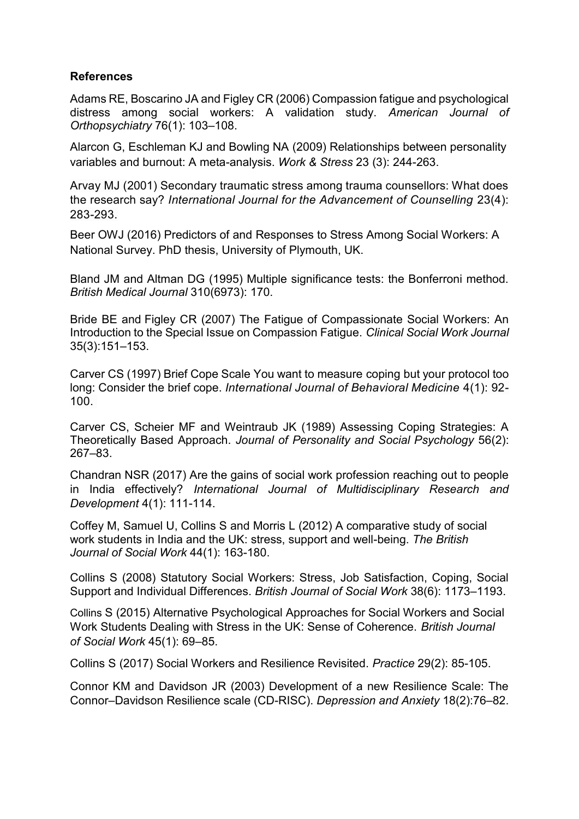#### **References**

Adams RE, Boscarino JA and Figley CR (2006) Compassion fatigue and psychological distress among social workers: A validation study. *American Journal of Orthopsychiatry* 76(1): 103–108.

Alarcon G, Eschleman KJ and Bowling NA (2009) Relationships between personality variables and burnout: A meta-analysis. *Work & Stress* 23 (3): 244-263.

Arvay MJ (2001) Secondary traumatic stress among trauma counsellors: What does the research say? *International Journal for the Advancement of Counselling* 23(4): 283-293.

Beer OWJ (2016) Predictors of and Responses to Stress Among Social Workers: A National Survey. PhD thesis, University of Plymouth, UK.

Bland JM and Altman DG (1995) Multiple significance tests: the Bonferroni method. *British Medical Journal* 310(6973): 170.

Bride BE and Figley CR (2007) The Fatigue of Compassionate Social Workers: An Introduction to the Special Issue on Compassion Fatigue. *Clinical Social Work Journal* 35(3):151–153.

Carver CS (1997) Brief Cope Scale You want to measure coping but your protocol too long: Consider the brief cope. *International Journal of Behavioral Medicine* 4(1): 92- 100.

Carver CS, Scheier MF and Weintraub JK (1989) Assessing Coping Strategies: A Theoretically Based Approach. *Journal of Personality and Social Psychology* 56(2): 267–83.

Chandran NSR (2017) Are the gains of social work profession reaching out to people in India effectively? *International Journal of Multidisciplinary Research and Development* 4(1): 111-114.

Coffey M, Samuel U, Collins S and Morris L (2012) A comparative study of social work students in India and the UK: stress, support and well-being. *The British Journal of Social Work* 44(1): 163-180.

Collins S (2008) Statutory Social Workers: Stress, Job Satisfaction, Coping, Social Support and Individual Differences. *British Journal of Social Work* 38(6): 1173–1193.

Collins S (2015) Alternative Psychological Approaches for Social Workers and Social Work Students Dealing with Stress in the UK: Sense of Coherence. *British Journal of Social Work* 45(1): 69–85.

Collins S (2017) Social Workers and Resilience Revisited. *Practice* 29(2): 85-105.

Connor KM and Davidson JR (2003) Development of a new Resilience Scale: The Connor–Davidson Resilience scale (CD-RISC). *Depression and Anxiety* 18(2):76–82.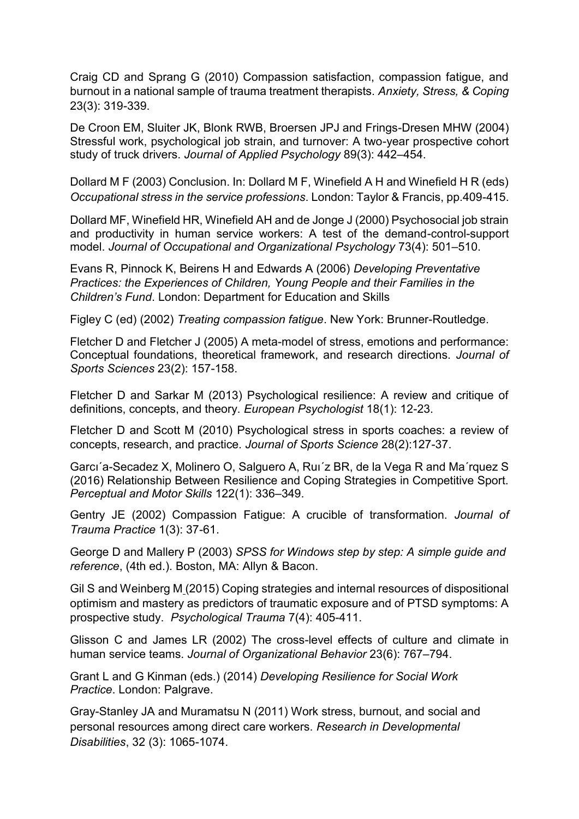Craig CD and Sprang G (2010) Compassion satisfaction, compassion fatigue, and burnout in a national sample of trauma treatment therapists. *Anxiety, Stress, & Coping*  23(3): 319-339.

De Croon EM, Sluiter JK, Blonk RWB, Broersen JPJ and Frings-Dresen MHW (2004) Stressful work, psychological job strain, and turnover: A two-year prospective cohort study of truck drivers. *Journal of Applied Psychology* 89(3): 442–454.

Dollard M F (2003) Conclusion. In: Dollard M F, Winefield A H and Winefield H R (eds) *Occupational stress in the service professions*. London: Taylor & Francis, pp.409-415.

Dollard MF, Winefield HR, Winefield AH and de Jonge J (2000) Psychosocial job strain and productivity in human service workers: A test of the demand-control-support model. *Journal of Occupational and Organizational Psychology* 73(4): 501–510.

Evans R, Pinnock K, Beirens H and Edwards A (2006) *Developing Preventative Practices: the Experiences of Children, Young People and their Families in the Children's Fund*. London: Department for Education and Skills

Figley C (ed) (2002) *Treating compassion fatigue*. New York: Brunner-Routledge.

Fletcher D and Fletcher J (2005) A meta-model of stress, emotions and performance: Conceptual foundations, theoretical framework, and research directions. *Journal of Sports Sciences* 23(2): 157-158.

Fletcher D and Sarkar M (2013) Psychological resilience: A review and critique of definitions, concepts, and theory. *European Psychologist* 18(1): 12-23.

Fletcher D and Scott M (2010) Psychological stress in sports coaches: a review of concepts, research, and practice. *Journal of Sports Science* 28(2):127-37.

Garcı´a-Secadez X, Molinero O, Salguero A, Ruı´z BR, de la Vega R and Ma´rquez S (2016) Relationship Between Resilience and Coping Strategies in Competitive Sport. *Perceptual and Motor Skills* 122(1): 336–349.

Gentry JE (2002) Compassion Fatigue: A crucible of transformation. *Journal of Trauma Practice* 1(3): 37-61.

George D and Mallery P (2003) *SPSS for Windows step by step: A simple guide and reference*, (4th ed.). Boston, MA: Allyn & Bacon.

Gil S and Weinberg M (2015) Coping strategies and internal resources of dispositional optimism and mastery as predictors of traumatic exposure and of PTSD symptoms: A prospective study. *Psychological Trauma* 7(4): 405-411.

Glisson C and James LR (2002) The cross-level effects of culture and climate in human service teams. *Journal of Organizational Behavior* 23(6): 767–794.

Grant L and G Kinman (eds.) (2014) *Developing Resilience for Social Work Practice*. London: Palgrave.

Gray-Stanley JA and Muramatsu N (2011) Work stress, burnout, and social and personal resources among direct care workers. *Research in Developmental Disabilities*, 32 (3): 1065-1074.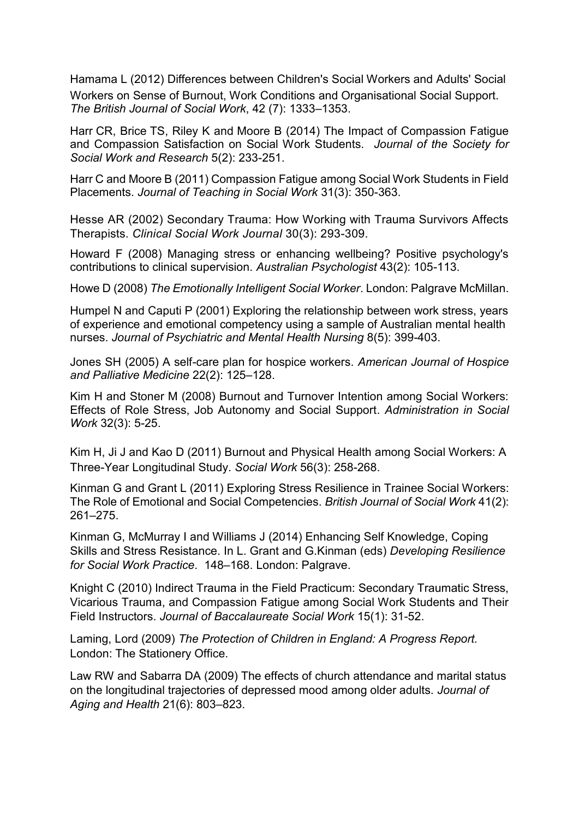Hamama L (2012) Differences between Children's Social Workers and Adults' Social Workers on Sense of Burnout, Work Conditions and Organisational Social Support. *The British Journal of Social Work*, 42 (7): 1333–1353.

Harr CR, Brice TS, Riley K and Moore B (2014) The Impact of Compassion Fatigue and Compassion Satisfaction on Social Work Students. *Journal of the Society for Social Work and Research* 5(2): 233-251.

Harr C and Moore B (2011) Compassion Fatigue among Social Work Students in Field Placements. *Journal of Teaching in Social Work* 31(3): 350-363.

Hesse AR (2002) Secondary Trauma: How Working with Trauma Survivors Affects Therapists. *Clinical Social Work Journal* 30(3): 293-309.

Howard F (2008) Managing stress or enhancing wellbeing? Positive psychology's contributions to clinical supervision. *Australian Psychologist* 43(2): 105-113.

Howe D (2008) *The Emotionally Intelligent Social Worker*. London: Palgrave McMillan.

Humpel N and Caputi P (2001) Exploring the relationship between work stress, years of experience and emotional competency using a sample of Australian mental health nurses. *Journal of Psychiatric and Mental Health Nursing* 8(5): 399-403.

Jones SH (2005) A self-care plan for hospice workers. *American Journal of Hospice and Palliative Medicine* 22(2): 125–128.

Kim H and Stoner M (2008) Burnout and Turnover Intention among Social Workers: Effects of Role Stress, Job Autonomy and Social Support. *Administration in Social Work* 32(3): 5-25.

Kim H, Ji J and Kao D (2011) Burnout and Physical Health among Social Workers: A Three-Year Longitudinal Study. *Social Work* 56(3): 258-268.

Kinman G and Grant L (2011) Exploring Stress Resilience in Trainee Social Workers: The Role of Emotional and Social Competencies. *British Journal of Social Work* 41(2): 261–275.

Kinman G, McMurray I and Williams J (2014) Enhancing Self Knowledge, Coping Skills and Stress Resistance. In L. Grant and G.Kinman (eds) *Developing Resilience for Social Work Practice*. 148–168. London: Palgrave.

Knight C (2010) Indirect Trauma in the Field Practicum: Secondary Traumatic Stress, Vicarious Trauma, and Compassion Fatigue among Social Work Students and Their Field Instructors. *Journal of Baccalaureate Social Work* 15(1): 31-52.

Laming, Lord (2009) *The Protection of Children in England: A Progress Report.*  London: The Stationery Office.

Law RW and Sabarra DA (2009) The effects of church attendance and marital status on the longitudinal trajectories of depressed mood among older adults. *Journal of Aging and Health* 21(6): 803–823.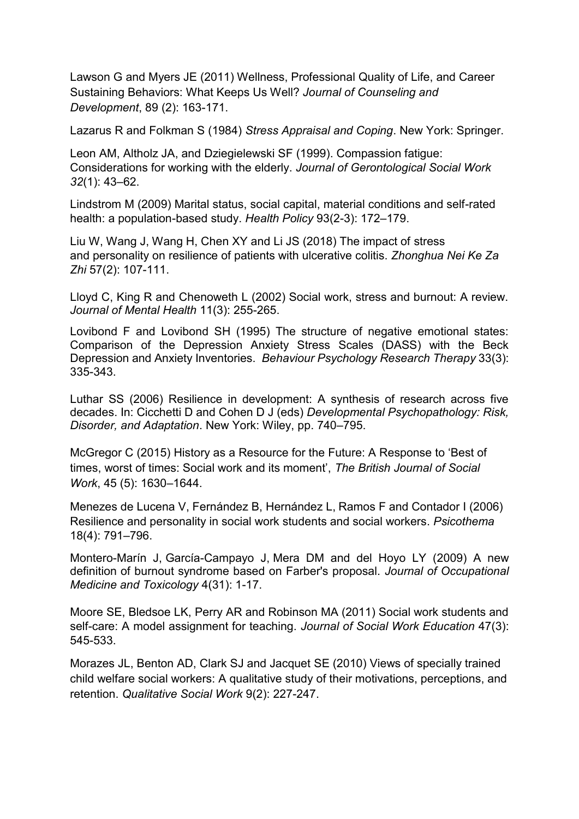Lawson G and Myers JE (2011) Wellness, Professional Quality of Life, and Career Sustaining Behaviors: What Keeps Us Well? *Journal of Counseling and Development*, 89 (2): 163-171.

Lazarus R and Folkman S (1984) *Stress Appraisal and Coping*. New York: Springer.

Leon AM, Altholz JA, and Dziegielewski SF (1999). Compassion fatigue: Considerations for working with the elderly. *Journal of Gerontological Social Work 32*(1): 43–62.

Lindstrom M (2009) Marital status, social capital, material conditions and self-rated health: a population-based study. *Health Policy* 93(2-3): 172–179.

Liu W, Wang J, Wang H, Chen XY and Li JS (2018) The impact of stress and personality on resilience of patients with ulcerative colitis. *Zhonghua Nei Ke Za Zhi* 57(2): 107-111.

Lloyd C, King R and Chenoweth L (2002) Social work, stress and burnout: A review. *Journal of Mental Health* 11(3): 255-265.

Lovibond F and Lovibond SH (1995) The structure of negative emotional states: Comparison of the Depression Anxiety Stress Scales (DASS) with the Beck Depression and Anxiety Inventories. *Behaviour Psychology Research Therapy* 33(3): 335-343.

Luthar SS (2006) Resilience in development: A synthesis of research across five decades. In: Cicchetti D and Cohen D J (eds) *Developmental Psychopathology: Risk, Disorder, and Adaptation*. New York: Wiley, pp. 740–795.

McGregor C (2015) History as a Resource for the Future: A Response to 'Best of times, worst of times: Social work and its moment', *The British Journal of Social Work*, 45 (5): 1630–1644.

Menezes de Lucena V, Fernández B, Hernández L, Ramos F and Contador I (2006) Resilience and personality in social work students and social workers. *Psicothema* 18(4): 791–796.

Montero-Marín J, García-Campayo J, Mera DM and del Hoyo LY (2009) A new definition of burnout syndrome based on Farber's proposal. *Journal of Occupational Medicine and Toxicology* 4(31): 1-17.

Moore SE, Bledsoe LK, Perry AR and Robinson MA (2011) Social work students and self-care: A model assignment for teaching. *Journal of Social Work Education* 47(3): 545-533.

Morazes JL, Benton AD, Clark SJ and Jacquet SE (2010) Views of specially trained child welfare social workers: A qualitative study of their motivations, perceptions, and retention. *Qualitative Social Work* 9(2): 227-247.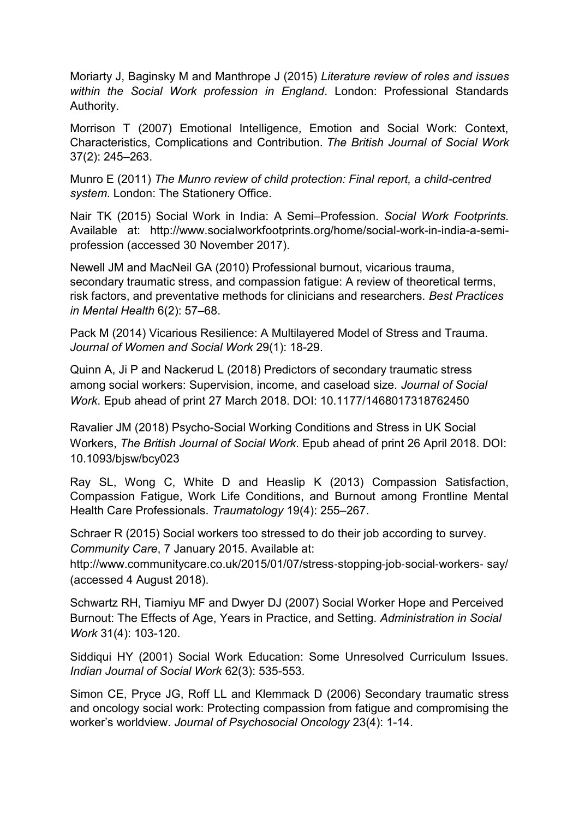Moriarty J, Baginsky M and Manthrope J (2015) *Literature review of roles and issues within the Social Work profession in England*. London: Professional Standards Authority.

Morrison T (2007) Emotional Intelligence, Emotion and Social Work: Context, Characteristics, Complications and Contribution. *The British Journal of Social Work* 37(2): 245–263.

Munro E (2011) *The Munro review of child protection: Final report, a child-centred system*. London: The Stationery Office.

Nair TK (2015) Social Work in India: A Semi–Profession. *Social Work Footprints.*  Available at: http://www.socialworkfootprints.org/home/social-work-in-india-a-semiprofession (accessed 30 November 2017).

Newell JM and MacNeil GA (2010) Professional burnout, vicarious trauma, secondary traumatic stress, and compassion fatigue: A review of theoretical terms, risk factors, and preventative methods for clinicians and researchers. *Best Practices in Mental Health* 6(2): 57–68.

Pack M (2014) Vicarious Resilience: A Multilayered Model of Stress and Trauma. *Journal of Women and Social Work* 29(1): 18-29.

Quinn A, Ji P and Nackerud L (2018) Predictors of secondary traumatic stress among social workers: Supervision, income, and caseload size. *Journal of Social Work*. Epub ahead of print 27 March 2018. DOI: 10.1177/1468017318762450

Ravalier JM (2018) Psycho-Social Working Conditions and Stress in UK Social Workers, *The British Journal of Social Work*. Epub ahead of print 26 April 2018. DOI: 10.1093/bjsw/bcy023

Ray SL, Wong C, White D and Heaslip K (2013) Compassion Satisfaction, Compassion Fatigue, Work Life Conditions, and Burnout among Frontline Mental Health Care Professionals. *Traumatology* 19(4): 255–267.

Schraer R (2015) Social workers too stressed to do their job according to survey. *Community Care*, 7 January 2015. Available at:

http://www.communitycare.co.uk/2015/01/07/stress-stopping-job-social-workers-say/ (accessed 4 August 2018).

Schwartz RH, Tiamiyu MF and Dwyer DJ (2007) Social Worker Hope and Perceived Burnout: The Effects of Age, Years in Practice, and Setting. *Administration in Social Work* 31(4): 103-120.

Siddiqui HY (2001) Social Work Education: Some Unresolved Curriculum Issues. *Indian Journal of Social Work* 62(3): 535-553.

Simon CE, Pryce JG, Roff LL and Klemmack D (2006) Secondary traumatic stress and oncology social work: Protecting compassion from fatigue and compromising the worker's worldview. *Journal of Psychosocial Oncology* 23(4): 1-14.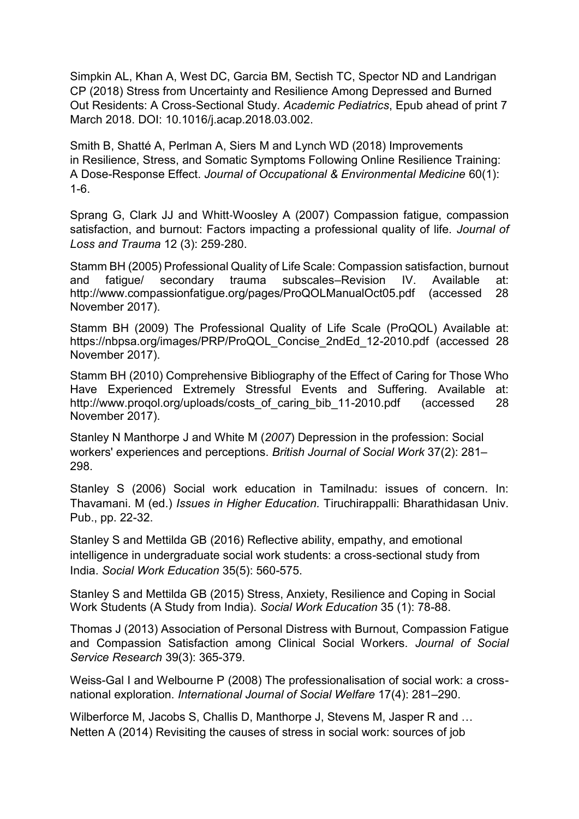Simpkin AL, Khan A, West DC, Garcia BM, Sectish TC, Spector ND and Landrigan CP (2018) Stress from Uncertainty and Resilience Among Depressed and Burned Out Residents: A Cross-Sectional Study. *Academic Pediatrics*, Epub ahead of print 7 March 2018. DOI: 10.1016/j.acap.2018.03.002.

Smith B, Shatté A, Perlman A, Siers M and Lynch WD (2018) Improvements in Resilience, Stress, and Somatic Symptoms Following Online Resilience Training: A Dose-Response Effect. *Journal of Occupational & Environmental Medicine* 60(1): 1-6.

Sprang G, Clark JJ and Whitt‐Woosley A (2007) Compassion fatigue, compassion satisfaction, and burnout: Factors impacting a professional quality of life. *Journal of Loss and Trauma* 12 (3): 259‐280.

Stamm BH (2005) Professional Quality of Life Scale: Compassion satisfaction, burnout and fatigue/ secondary trauma subscales–Revision IV. Available at: http://www.compassionfatigue.org/pages/ProQOLManualOct05.pdf (accessed 28 November 2017).

Stamm BH (2009) The Professional Quality of Life Scale (ProQOL) Available at: https://nbpsa.org/images/PRP/ProQOL\_Concise\_2ndEd\_12-2010.pdf (accessed 28 November 2017).

Stamm BH (2010) Comprehensive Bibliography of the Effect of Caring for Those Who Have Experienced Extremely Stressful Events and Suffering. Available at: http://www.progol.org/uploads/costs\_of\_caring\_bib\_11-2010.pdf (accessed 28 November 2017).

Stanley N Manthorpe J and White M (*2007*) Depression in the profession: Social workers' experiences and perceptions. *British Journal of Social Work* 37(2): 281– 298.

Stanley S (2006) Social work education in Tamilnadu: issues of concern. In: Thavamani. M (ed.) *Issues in Higher Education.* Tiruchirappalli: Bharathidasan Univ. Pub., pp. 22-32.

Stanley S and Mettilda GB (2016) Reflective ability, empathy, and emotional intelligence in undergraduate social work students: a cross-sectional study from India. *Social Work Education* 35(5): 560-575.

Stanley S and Mettilda GB (2015) Stress, Anxiety, Resilience and Coping in Social Work Students (A Study from India). *Social Work Education* 35 (1): 78-88.

Thomas J (2013) Association of Personal Distress with Burnout, Compassion Fatigue and Compassion Satisfaction among Clinical Social Workers. *Journal of Social Service Research* 39(3): 365-379.

Weiss-Gal I and Welbourne P (2008) The professionalisation of social work: a crossnational exploration. *International Journal of Social Welfare* 17(4): 281–290.

Wilberforce M, Jacobs S, Challis D, Manthorpe J, Stevens M, Jasper R and … Netten A (2014) Revisiting the causes of stress in social work: sources of job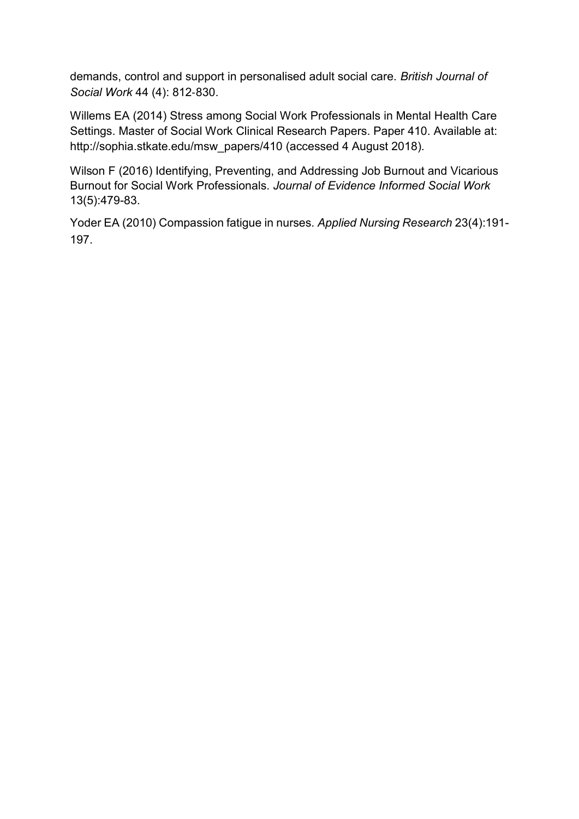demands, control and support in personalised adult social care. *British Journal of Social Work* 44 (4): 812‐830.

Willems EA (2014) Stress among Social Work Professionals in Mental Health Care Settings. Master of Social Work Clinical Research Papers. Paper 410. Available at: http://sophia.stkate.edu/msw\_papers/410 (accessed 4 August 2018).

Wilson F (2016) Identifying, Preventing, and Addressing Job Burnout and Vicarious Burnout for Social Work Professionals. *Journal of Evidence Informed Social Work* 13(5):479-83.

Yoder EA (2010) Compassion fatigue in nurses. *Applied Nursing Research* 23(4):191- 197.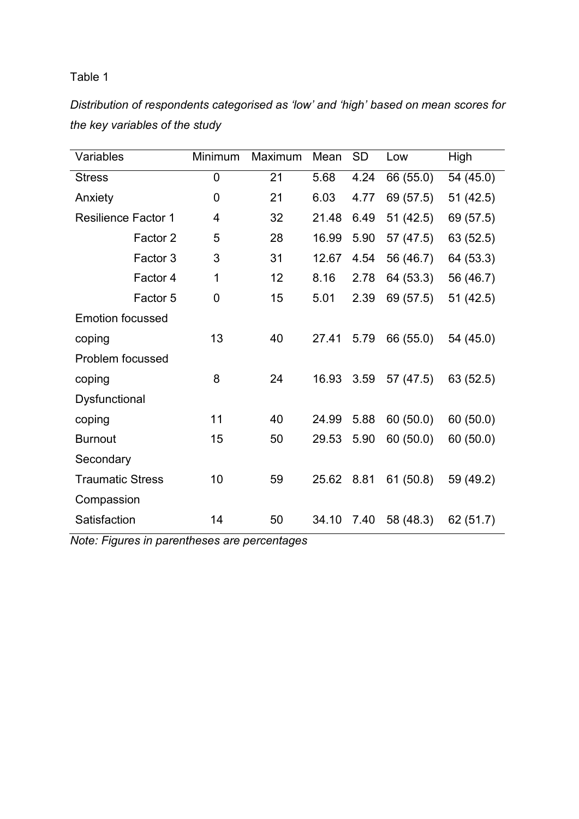*Distribution of respondents categorised as 'low' and 'high' based on mean scores for the key variables of the study*

| Variables                  | Minimum        | Maximum | Mean         | <b>SD</b> | Low       | High                   |  |  |
|----------------------------|----------------|---------|--------------|-----------|-----------|------------------------|--|--|
| <b>Stress</b>              | $\overline{0}$ | 21      | 5.68<br>4.24 |           | 66 (55.0) | 54 (45.0)              |  |  |
| Anxiety                    | 0              | 21      | 6.03         | 4.77      | 69 (57.5) | 51 (42.5)              |  |  |
| <b>Resilience Factor 1</b> | 4              | 32      | 21.48        | 6.49      | 51(42.5)  | 69 (57.5)              |  |  |
| Factor 2                   | 5              | 28      | 16.99        | 5.90      | 57 (47.5) | 63 (52.5)              |  |  |
| Factor 3                   | 3              | 31      | 12.67        | 4.54      | 56 (46.7) | 64 (53.3)<br>56 (46.7) |  |  |
| Factor 4                   | 1              | 12      | 8.16         | 2.78      | 64 (53.3) |                        |  |  |
| Factor 5                   | 0              | 15      | 5.01         | 2.39      | 69 (57.5) | 51(42.5)               |  |  |
| <b>Emotion focussed</b>    |                |         |              |           |           |                        |  |  |
| coping                     | 13             | 40      | 27.41        | 5.79      | 66 (55.0) | 54 (45.0)              |  |  |
| Problem focussed           |                |         |              |           |           |                        |  |  |
| coping                     | 8              | 24      | 16.93        | 3.59      | 57 (47.5) | 63 (52.5)              |  |  |
| Dysfunctional              |                |         |              |           |           |                        |  |  |
| coping                     | 11             | 40      | 24.99        | 5.88      | 60(50.0)  | 60(50.0)               |  |  |
| <b>Burnout</b>             | 15             | 50      | 29.53        | 5.90      | 60(50.0)  | 60(50.0)               |  |  |
| Secondary                  |                |         |              |           |           |                        |  |  |
| <b>Traumatic Stress</b>    | 10             | 59      | 25.62        | 8.81      | 61(50.8)  | 59 (49.2)              |  |  |
| Compassion                 |                |         |              |           |           |                        |  |  |
| Satisfaction               | 14             | 50      | 34.10        | 7.40      | 58 (48.3) | 62 (51.7)              |  |  |

*Note: Figures in parentheses are percentages*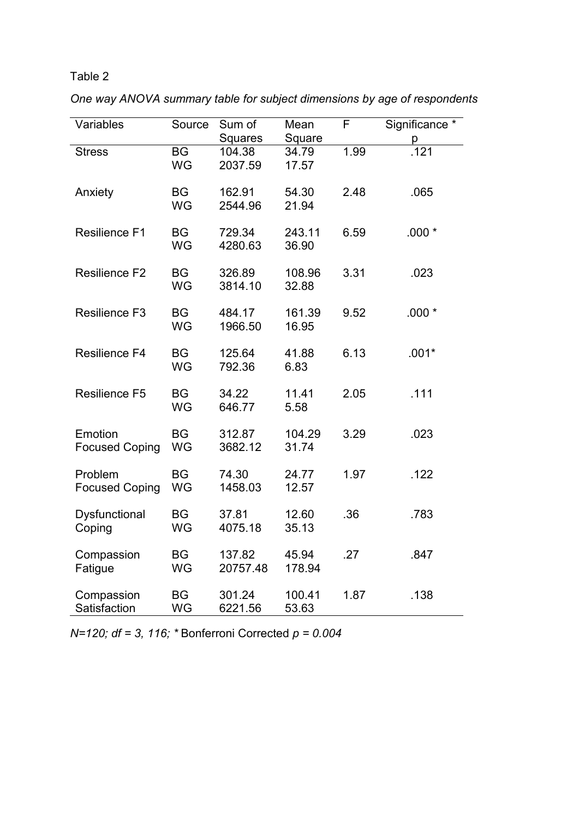| Variables             | Source          | Sum of            | Mean            | F    | Significance *    |  |  |  |
|-----------------------|-----------------|-------------------|-----------------|------|-------------------|--|--|--|
|                       |                 | Squares           | Square          |      | p                 |  |  |  |
| <b>Stress</b>         | <b>BG</b>       | 104.38            | 34.79           | 1.99 | $\overline{.121}$ |  |  |  |
|                       | WG              | 2037.59           | 17.57           |      |                   |  |  |  |
|                       |                 |                   |                 |      |                   |  |  |  |
| Anxiety               | <b>BG</b>       | 162.91            | 54.30           | 2.48 | .065              |  |  |  |
|                       | WG              | 2544.96           | 21.94           |      |                   |  |  |  |
|                       |                 |                   |                 |      |                   |  |  |  |
| <b>Resilience F1</b>  | <b>BG</b>       | 729.34            | 243.11          | 6.59 | $.000*$           |  |  |  |
|                       | WG              | 4280.63           | 36.90           |      |                   |  |  |  |
| <b>Resilience F2</b>  |                 |                   |                 | 3.31 | .023              |  |  |  |
|                       | <b>BG</b><br>WG | 326.89<br>3814.10 | 108.96<br>32.88 |      |                   |  |  |  |
|                       |                 |                   |                 |      |                   |  |  |  |
| <b>Resilience F3</b>  | <b>BG</b>       | 484.17            | 161.39          | 9.52 | $.000*$           |  |  |  |
|                       | <b>WG</b>       | 1966.50           | 16.95           |      |                   |  |  |  |
|                       |                 |                   |                 |      |                   |  |  |  |
| <b>Resilience F4</b>  | <b>BG</b>       | 125.64            | 41.88           | 6.13 | $.001*$           |  |  |  |
|                       | WG              | 792.36            | 6.83            |      |                   |  |  |  |
|                       |                 |                   |                 |      |                   |  |  |  |
| <b>Resilience F5</b>  | <b>BG</b>       | 34.22             | 11.41           | 2.05 | .111              |  |  |  |
|                       | WG              | 646.77            | 5.58            |      |                   |  |  |  |
|                       |                 |                   |                 |      |                   |  |  |  |
| Emotion               | <b>BG</b>       | 312.87            | 104.29          | 3.29 | .023              |  |  |  |
| <b>Focused Coping</b> | WG              | 3682.12           | 31.74           |      |                   |  |  |  |
|                       |                 |                   |                 |      |                   |  |  |  |
| Problem               | <b>BG</b>       | 74.30             | 24.77           | 1.97 | .122              |  |  |  |
| <b>Focused Coping</b> | WG              | 1458.03           | 12.57           |      |                   |  |  |  |
|                       |                 |                   |                 |      |                   |  |  |  |
| Dysfunctional         | <b>BG</b>       | 37.81             | 12.60           | .36  | .783              |  |  |  |
| Coping                | <b>WG</b>       | 4075.18           | 35.13           |      |                   |  |  |  |
|                       |                 |                   |                 |      |                   |  |  |  |
| Compassion            | <b>BG</b>       | 137.82            | 45.94           | .27  | .847              |  |  |  |
| Fatigue               | WG              | 20757.48          | 178.94          |      |                   |  |  |  |
|                       |                 |                   |                 |      |                   |  |  |  |
| Compassion            | <b>BG</b>       | 301.24            | 100.41          | 1.87 | .138              |  |  |  |
| Satisfaction          | WG              | 6221.56           | 53.63           |      |                   |  |  |  |

*One way ANOVA summary table for subject dimensions by age of respondents* 

*N=120; df = 3, 116; \** Bonferroni Corrected *p = 0.004*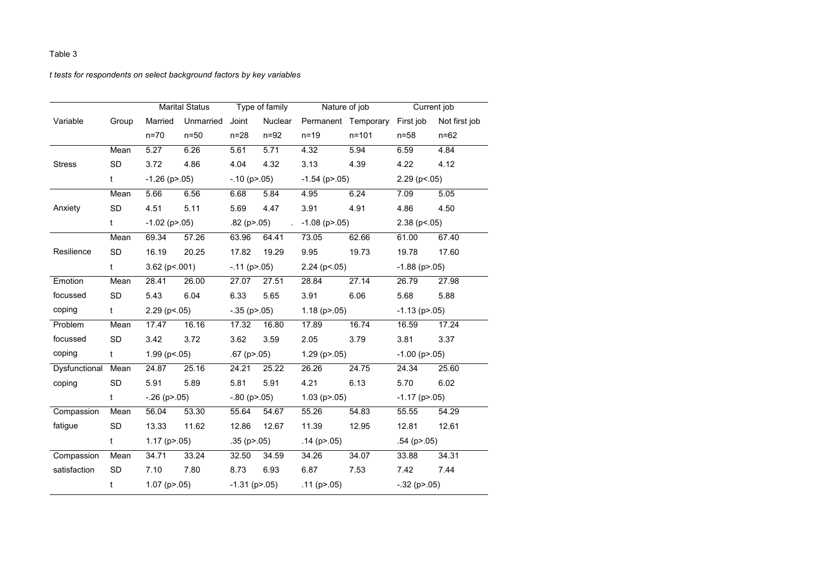# *t tests for respondents on select background factors by key variables*

|                    |              |                       | <b>Marital Status</b> | Type of family        |               |                       | Nature of job                 | Current job           |                     |  |  |
|--------------------|--------------|-----------------------|-----------------------|-----------------------|---------------|-----------------------|-------------------------------|-----------------------|---------------------|--|--|
| Variable           | Group        | Married               | Unmarried             | Joint                 | Nuclear       |                       | Permanent Temporary First job |                       | Not first job       |  |  |
|                    |              | $n=70$                | $n=50$                | $n=28$                | $n=92$        | $n = 19$              | $n = 101$                     | $n = 58$              | $n = 62$            |  |  |
|                    | Mean         | 5.27                  | 6.26                  | 5.61                  | 5.71          | 4.32                  | 5.94                          | 6.59                  | 4.84                |  |  |
| <b>Stress</b>      | <b>SD</b>    | 3.72                  | 4.86                  | 4.04<br>4.32          |               | 3.13                  | 4.39                          | 4.22                  | 4.12                |  |  |
|                    | t            | $-1.26$ (p $> 0.05$ ) |                       | $-.10$ (p $> 0.05$ )  |               | $-1.54$ (p $> 0.05$ ) |                               | $2.29$ ( $p<0.05$ )   |                     |  |  |
|                    | Mean         | 5.66                  | 6.56                  | 6.68                  | 5.84          | 4.95                  | 6.24                          | 7.09                  | 5.05                |  |  |
| Anxiety            | <b>SD</b>    | 4.51                  | 5.11                  | 5.69                  | 4.47          | 3.91                  | 4.91                          | 4.86                  | 4.50                |  |  |
|                    | t            | $-1.02$ (p $> 05$ )   |                       |                       | $.82$ (p>.05) |                       | $-1.08$ (p $> 0.05$ )         |                       | $2.38$ ( $p<0.05$ ) |  |  |
|                    | Mean         | 69.34                 | 57.26                 | 63.96                 | 64.41         | 73.05                 | 62.66                         | 61.00                 | 67.40               |  |  |
| Resilience         | <b>SD</b>    | 16.19<br>20.25        |                       | 17.82                 | 19.29         | 9.95                  | 19.73                         | 19.78                 | 17.60               |  |  |
|                    | $\mathbf{t}$ | $3.62$ (p < 001)      |                       | $-.11$ (p $> .05$ )   |               | $2.24$ ( $p<0.05$ )   |                               | $-1.88$ (p $> 0.05$ ) |                     |  |  |
| Emotion            | Mean         | 28.41                 | 26.00                 | 27.07                 | 27.51         | 28.84                 | 27.14                         | 26.79                 | 27.98               |  |  |
| focussed           | <b>SD</b>    | 5.43<br>6.04          |                       | 6.33                  | 5.65          | 3.91                  | 6.06                          | 5.68                  | 5.88                |  |  |
| coping             | $\mathsf{t}$ | $2.29$ (p < 05)       |                       | $-35$ (p>.05)         |               | 1.18 ( $p > 05$ )     |                               | $-1.13$ (p $> 0.05$ ) |                     |  |  |
| Problem            | Mean         | 17.47                 | 16.16                 | 17.32                 | 16.80         | 17.89                 | 16.74                         | 16.59                 | 17.24               |  |  |
| focussed           | <b>SD</b>    | 3.42                  | 3.72                  | 3.62                  | 3.59          | 2.05<br>3.79          |                               | 3.81                  | 3.37                |  |  |
| coping             | $\mathsf{t}$ | $1.99$ (p < 05)       |                       | $.67$ (p>.05)         |               | $1.29$ (p $> 0.05$ )  |                               | $-1.00$ (p $> 0.05$ ) |                     |  |  |
| Dysfunctional Mean |              | 24.87                 | 25.16                 | 24.21                 | 25.22         | 26.26<br>24.75        |                               | 24.34                 | 25.60               |  |  |
| coping             | <b>SD</b>    | 5.91                  | 5.89                  | 5.81<br>5.91          |               | 4.21<br>6.13          |                               | 5.70                  | 6.02                |  |  |
|                    | t            | $-.26$ (p $> 0.05$ )  |                       | $-.80$ (p>.05)        |               | $1.03$ (p $> 0.05$ )  |                               | $-1.17$ (p $> 05$ )   |                     |  |  |
| Compassion         | Mean         | 56.04                 | 53.30                 | 55.64                 | 54.67         | 55.26                 | 54.83                         | 55.55                 | 54.29               |  |  |
| fatigue            | <b>SD</b>    | 13.33                 | 11.62                 | 12.86                 | 12.67         | 11.39                 | 12.95                         | 12.81                 | 12.61               |  |  |
|                    | t            | $1.17$ (p $> 05$ )    |                       | $.35$ (p $> 0.05$ )   |               | $.14$ (p $> 0.05$ )   |                               | $.54$ (p $> 0.05$ )   |                     |  |  |
| Compassion         | Mean         | 34.71                 | 33.24                 | 32.50                 | 34.59         | 34.26                 | 34.07                         | 33.88                 | 34.31               |  |  |
| satisfaction       | <b>SD</b>    | 7.10                  | 7.80                  | 8.73                  | 6.93          | 6.87<br>7.53          |                               | 7.42                  | 7.44                |  |  |
|                    | t            | $1.07$ (p $> 0.05$ )  |                       | $-1.31$ (p $> 0.05$ ) |               | .11 ( $p > 05$ )      |                               | $-.32$ (p $> 0.05$ )  |                     |  |  |